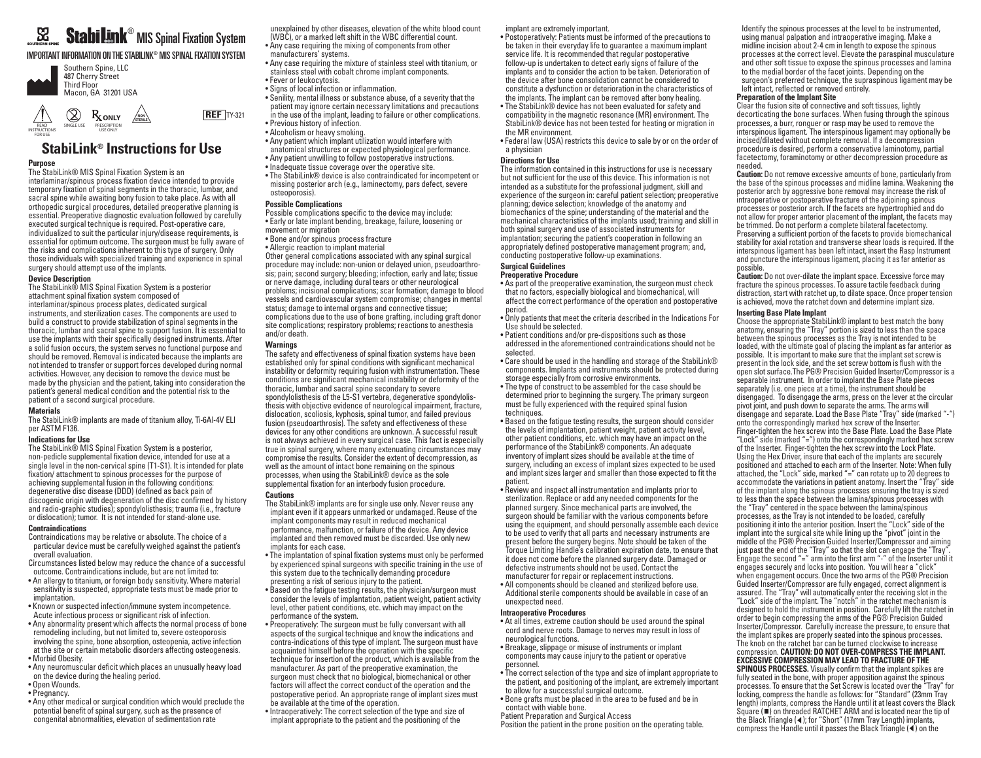# $^\circledR$  MIS Spinal Fixation System

# IMPORTANT INFORMATION ON THE STABILINK® MIS SPINAL FIXATION SYSTEM



READ INSTRUCTIONS SINGLE USE PRESCRIPTION USE ONLY



# **StabiLink® Instructions for Use**

### **Purpose**

FOR USE

The StabiLink® MIS Spinal Fixation System is an interlaminar/spinous process fixation device intended to provide temporary fixation of spinal segments in the thoracic, lumbar, and sacral spine while awaiting bony fusion to take place. As with all orthopedic surgical procedures, detailed preoperative planning is essential. Preoperative diagnostic evaluation followed by carefully executed surgical technique is required. Post-operative care, individualized to suit the particular injury/disease requirements, is essential for optimum outcome. The surgeon must be fully aware of the risks and complications inherent to this type of surgery. Only those individuals with specialized training and experience in spinal surgery should attempt use of the implants.

#### **Device Description**

The StabiLink® MIS Spinal Fixation System is a posterior attachment spinal fixation system composed of interlaminar/spinous process plates, dedicated surgical instruments, and sterilization cases. The components are used to build a construct to provide stabilization of spinal segments in the thoracic, lumbar and sacral spine to support fusion. It is essential to use the implants with their specifically designed instruments. After a solid fusion occurs, the system serves no functional purpose and should be removed. Removal is indicated because the implants are not intended to transfer or support forces developed during normal activities. However, any decision to remove the device must be made by the physician and the patient, taking into consideration the patient's general medical condition and the potential risk to the patient of a second surgical procedure.

#### **Materials**

The StabiLink® implants are made of titanium alloy, Ti-6Al-4V ELI per ASTM F136.

### **Indications for Use**

The StabiLink® MIS Spinal Fixation System is a posterior, non-pedicle supplemental fixation device, intended for use at a single level in the non-cervical spine (T1-S1). It is intended for plate fixation/ attachment to spinous processes for the purpose of achieving supplemental fusion in the following conditions: degenerative disc disease (DDD) (defined as back pain of discogenic origin with degeneration of the disc confirmed by history and radio-graphic studies); spondylolisthesis; trauma (i.e., fracture or dislocation); tumor. It is not intended for stand-alone use.

#### **Contraindications**

Contraindications may be relative or absolute. The choice of a particular device must be carefully weighed against the patient's overall evaluation.

- Circumstances listed below may reduce the chance of a successful outcome. Contraindications include, but are not limited to:
- An allergy to titanium, or foreign body sensitivity. Where material sensitivity is suspected, appropriate tests must be made prior to implantation.
- Known or suspected infection/immune system incompetence. Acute infectious process or significant risk of infection.
- Any abnormality present which affects the normal process of bone remodeling including, but not limited to, severe osteoporosis involving the spine, bone absorption, osteopenia, active infection at the site or certain metabolic disorders affecting osteogenesis. • Morbid Obesity.
- Any neuromuscular deficit which places an unusually heavy load on the device during the healing period.
- Open Wounds.
- Pregnancy.
- Any other medical or surgical condition which would preclude the potential benefit of spinal surgery, such as the presence of congenital abnormalities, elevation of sedimentation rate

unexplained by other diseases, elevation of the white blood count (WBC), or a marked left shift in the WBC differential count.

• Any case requiring the mixing of components from other

- manufacturers' systems. • Any case requiring the mixture of stainless steel with titanium, or stainless steel with cobalt chrome implant components. • Fever or leukocytosis.
- Signs of local infection or inflammation.
- Senility, mental illness or substance abuse, of a severity that the
- patient may ignore certain necessary limitations and precautions in the use of the implant, leading to failure or other complications.
	- Previous history of infection.
	- Alcoholism or heavy smoking.
	- Any patient which implant utilization would interfere with anatomical structures or expected physiological performance.
	- Any patient unwilling to follow postoperative instructions.
	- Inadequate tissue coverage over the operative site.
	- The StabiLink® device is also contraindicated for incompetent or missing posterior arch (e.g., laminectomy, pars defect, severe osteoporosis).

#### **Possible Complications**

- Possible complications specific to the device may include: • Early or late implant bending, breakage, failure, loosening or movement or migration
- Bone and/or spinous process fracture
- Allergic reaction to implant material
- Other general complications associated with any spinal surgical procedure may include: non-union or delayed union, pseudoarthrosis; pain; second surgery; bleeding; infection, early and late; tissue or nerve damage, including dural tears or other neurological problems; incisional complications; scar formation; damage to blood vessels and cardiovascular system compromise; changes in mental status; damage to internal organs and connective tissue; complications due to the use of bone grafting, including graft donor site complications; respiratory problems; reactions to anesthesia and/or death.

# **Warnings**

The safety and effectiveness of spinal fixation systems have been established only for spinal conditions with significant mechanical instability or deformity requiring fusion with instrumentation. These conditions are significant mechanical instability or deformity of the thoracic, lumbar and sacral spine secondary to severe spondylolisthesis of the L5-S1 vertebra, degenerative spondylolisthesis with objective evidence of neurological impairment, fracture, dislocation, scoliosis, kyphosis, spinal tumor, and failed previous fusion (pseudoarthrosis). The safety and effectiveness of these devices for any other conditions are unknown. A successful result is not always achieved in every surgical case. This fact is especially true in spinal surgery, where many extenuating circumstances may compromise the results. Consider the extent of decompression, as well as the amount of intact bone remaining on the spinous processes, when using the StabiLink® device as the sole supplemental fixation for an interbody fusion procedure.

#### **Cautions**

- The StabiLink® implants are for single use only. Never reuse any implant even if it appears unmarked or undamaged. Reuse of the implant components may result in reduced mechanical performance, malfunction, or failure of the device. Any device implanted and then removed must be discarded. Use only new implants for each case.
- The implantation of spinal fixation systems must only be performed by experienced spinal surgeons with specific training in the use of this system due to the technically demanding procedure
- presenting a risk of serious injury to the patient. • Based on the fatigue testing results, the physician/surgeon must consider the levels of implantation, patient weight, patient activity level, other patient conditions, etc. which may impact on the
- performance of the system. • Preoperatively: The surgeon must be fully conversant with all aspects of the surgical technique and know the indications and
- contra-indications of this type of implant. The surgeon must have acquainted himself before the operation with the specific technique for insertion of the product, which is available from the manufacturer. As part of the preoperative examination, the surgeon must check that no biological, biomechanical or other factors will affect the correct conduct of the operation and the postoperative period. An appropriate range of implant sizes must be available at the time of the operation.
- Intraoperatively: The correct selection of the type and size of implant appropriate to the patient and the positioning of the

implant are extremely important.

- Postoperatively: Patients must be informed of the precautions to be taken in their everyday life to guarantee a maximum implant service life. It is recommended that regular postoperative follow-up is undertaken to detect early signs of failure of the implants and to consider the action to be taken. Deterioration of the device after bone consolidation cannot be considered to constitute a dysfunction or deterioration in the characteristics of the implants. The implant can be removed after bony healing.
- The StabiLink® device has not been evaluated for safety and compatibility in the magnetic resonance (MR) environment. The StabiLink® device has not been tested for heating or migration in the MR environment.
- Federal law (USA) restricts this device to sale by or on the order of a physician

#### **Directions for Use**

The information contained in this instructions for use is necessary but not sufficient for the use of this device. This information is not intended as a substitute for the professional judgment, skill and experience of the surgeon in: careful patient selection; preoperative planning; device selection; knowledge of the anatomy and biomechanics of the spine; understanding of the material and the mechanical characteristics of the implants used; training and skill in both spinal surgery and use of associated instruments for implantation; securing the patient's cooperation in following an appropriately defined postoperative management program; and, conducting postoperative follow-up examinations.

# **Surgical Guidelines**

# **Preoperative Procedure**

- As part of the preoperative examination, the surgeon must check that no factors, especially biological and biomechanical, will affect the correct performance of the operation and postoperative period.
- Only patients that meet the criteria described in the Indications For Use should be selected.
- Patient conditions and/or pre-dispositions such as those addressed in the aforementioned contraindications should not be selected.
- Care should be used in the handling and storage of the StabiLink® components. Implants and instruments should be protected during storage especially from corrosive environments.
- The type of construct to be assembled for the case should be determined prior to beginning the surgery. The primary surgeon must be fully experienced with the required spinal fusion techniques.
- Based on the fatigue testing results, the surgeon should consider the levels of implantation, patient weight, patient activity level, other patient conditions, etc. which may have an impact on the performance of the StabiLink® components. An adequate inventory of implant sizes should be available at the time of surgery, including an excess of implant sizes expected to be used and implant sizes larger and smaller than those expected to fit the patient.
- Review and inspect all instrumentation and implants prior to sterilization. Replace or add any needed components for the planned surgery. Since mechanical parts are involved, the surgeon should be familiar with the various components before using the equipment, and should personally assemble each device to be used to verify that all parts and necessary instruments are present before the surgery begins. Note should be taken of the Torque Limiting Handle's calibration expiration date, to ensure that it does not come before the planned surgery date. Damaged or defective instruments should not be used. Contact the manufacturer for repair or replacement instructions. • All components should be cleaned and sterilized before use.

Additional sterile components should be available in case of an unexpected need.

# **Intraoperative Procedures**

- At all times, extreme caution should be used around the spinal cord and nerve roots. Damage to nerves may result in loss of neurological functions.
- Breakage, slippage or misuse of instruments or implant components may cause injury to the patient or operative personnel.
- The correct selection of the type and size of implant appropriate to the patient, and positioning of the implant, are extremely important to allow for a successful surgical outcome.
- Bone grafts must be placed in the area to be fused and be in contact with viable bone.
- Patient Preparation and Surgical Access
- Position the patient in the prone position on the operating table.

Identify the spinous processes at the level to be instrumented, using manual palpation and intraoperative imaging. Make a midline incision about 2-4 cm in length to expose the spinous processes at the correct level. Elevate the paraspinal musculature and other soft tissue to expose the spinous processes and lamina to the medial border of the facet joints. Depending on the surgeon's preferred technique, the supraspinous ligament may be left intact, reflected or removed entirely.

#### **Preparation of the Implant Site**

Clear the fusion site of connective and soft tissues, lightly decorticating the bone surfaces. When fusing through the spinous processes, a burr, ronguer or rasp may be used to remove the interspinous ligament. The interspinous ligament may optionally be incised/dilated without complete removal. If a decompression procedure is desired, perform a conservative laminotomy, partial facetectomy, foraminotomy or other decompression procedure as needed.

**Caution:** Do not remove excessive amounts of bone, particularly from the base of the spinous processes and midline lamina. Weakening the posterior arch by aggressive bone removal may increase the risk of intraoperative or postoperative fracture of the adjoining spinous processes or posterior arch. If the facets are hypertrophied and do not allow for proper anterior placement of the implant, the facets may be trimmed. Do not perform a complete bilateral facetectomy. Preserving a sufficient portion of the facets to provide biomechanical stability for axial rotation and transverse shear loads is required. If the interspinous ligament has been left intact, insert the Rasp Instrument and puncture the interspinous ligament, placing it as far anterior as possible.

**Caution:** Do not over-dilate the implant space. Excessive force may fracture the spinous processes. To assure tactile feedback during distraction, start with ratchet up, to dilate space. Once proper tension is achieved, move the ratchet down and determine implant size.

#### **Inserting Base Plate Implant**

Choose the appropriate StabiLink® implant to best match the bony anatomy, ensuring the "Tray" portion is sized to less than the space between the spinous processes as the Tray is not intended to be loaded, with the ultimate goal of placing the implant as far anterior as possible. It is important to make sure that the implant set screw is present in the lock side, and the set screw bottom is flush with the open slot surface.The PG® Precision Guided Inserter/Compressor is a separable instrument. In order to implant the Base Plate pieces separately (i.e. one piece at a time), the instrument should be disengaged. To disengage the arms, press on the lever at the circular pivot joint, and push down to separate the arms. The arms will disengage and separate. Load the Base Plate "Tray" side (marked "-") onto the correspondingly marked hex screw of the Inserter. Finger-tighten the hex screw into the Base Plate. Load the Base Plate "Lock" side (marked "=") onto the correspondingly marked hex screw of the Inserter. Finger-tighten the hex screw into the Lock Plate. Using the Hex Driver, insure that each of the implants are securely positioned and attached to each arm of the Inserter. Note: When fully attached, the "Lock" side, marked "=" can rotate up to 20 degrees to accommodate the variations in patient anatomy. Insert the "Tray" side of the implant along the spinous processes ensuring the tray is sized to less than the space between the lamina/spinous processes with the "Tray" centered in the space between the lamina/spinous processes, as the Tray is not intended to be loaded, carefully positioning it into the anterior position. Insert the "Lock" side of the implant into the surgical site while lining up the "pivot" joint in the middle of the PG® Precision Guided Inserter/Compressor and aiming just past the end of the "Tray" so that the slot can engage the "Tray Engage the second "=" arm into the first arm "-" of the Inserter until it engages securely and locks into position. You will hear a "click" when engagement occurs. Once the two arms of the PG® Precision Guided Inserter/Compressor are fully engaged, correct alignment is assured. The "Tray" will automatically enter the receiving slot in the "Lock" side of the implant. The "notch" in the ratchet mechanism is designed to hold the instrument in position. Carefully lift the ratchet in order to begin compressing the arms of the PG® Precision Guided Inserter/Compressor. Carefully increase the pressure, to ensure that the implant spikes are properly seated into the spinous processes. The knob on the ratchet bar can be turned clockwise to increase compression. **CAUTION: DO NOT OVER-COMPRESS THE IMPLANT. EXCESSIVE COMPRESSION MAY LEAD TO FRACTURE OF THE SPINOUS PROCESSES.** Visually confirm that the implant spikes are fully seated in the bone, with proper apposition against the spinous processes. To ensure that the Set Screw is located over the "Tray" for locking, compress the handle as follows: for "Standard" (23mm Tray length) implants, compress the Handle until it at least covers the Black Square ( $\blacksquare$ ) on threaded RATCHET ARM and is located near the tip of the Black Triangle (4); for "Short" (17mm Tray Length) implants, compress the Handle until it passes the Black Triangle ( $\blacktriangleleft$ ) on the